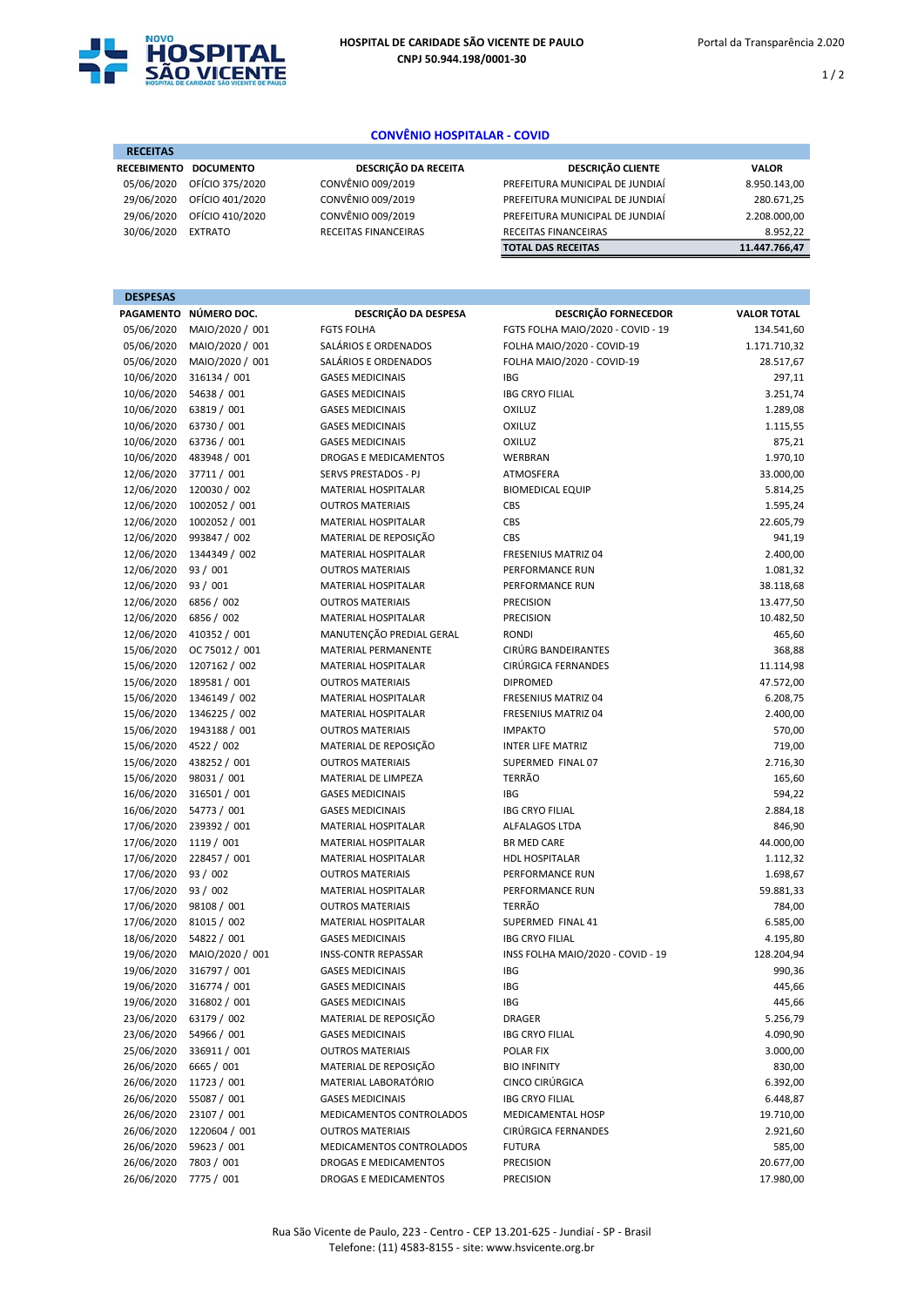

RECEITAS

 $1/2$ 

## CONVÊNIO HOSPITALAR - COVID

| <b>RECEITAS</b>    |                  |                      |                                 |               |
|--------------------|------------------|----------------------|---------------------------------|---------------|
| <b>RECEBIMENTO</b> | <b>DOCUMENTO</b> | DESCRIÇÃO DA RECEITA | <b>DESCRIÇÃO CLIENTE</b>        | <b>VALOR</b>  |
| 05/06/2020         | OFÍCIO 375/2020  | CONVÊNIO 009/2019    | PREFEITURA MUNICIPAL DE JUNDIAÍ | 8.950.143,00  |
| 29/06/2020         | OFÍCIO 401/2020  | CONVÊNIO 009/2019    | PREFEITURA MUNICIPAL DE JUNDIAÍ | 280.671,25    |
| 29/06/2020         | OFÍCIO 410/2020  | CONVÊNIO 009/2019    | PREFEITURA MUNICIPAL DE JUNDIAÍ | 2.208.000,00  |
| 30/06/2020         | <b>EXTRATO</b>   | RECEITAS FINANCEIRAS | <b>RECEITAS FINANCEIRAS</b>     | 8.952.22      |
|                    |                  |                      | <b>TOTAL DAS RECEITAS</b>       | 11.447.766,47 |

| <b>DESPESAS</b> |                       |                              |                                   |                    |
|-----------------|-----------------------|------------------------------|-----------------------------------|--------------------|
|                 | PAGAMENTO NÚMERO DOC. | DESCRIÇÃO DA DESPESA         | <b>DESCRIÇÃO FORNECEDOR</b>       | <b>VALOR TOTAL</b> |
| 05/06/2020      | MAIO/2020 / 001       | <b>FGTS FOLHA</b>            | FGTS FOLHA MAIO/2020 - COVID - 19 | 134.541,60         |
| 05/06/2020      | MAIO/2020 / 001       | SALÁRIOS E ORDENADOS         | FOLHA MAIO/2020 - COVID-19        | 1.171.710,32       |
| 05/06/2020      | MAIO/2020 / 001       | SALÁRIOS E ORDENADOS         | FOLHA MAIO/2020 - COVID-19        | 28.517,67          |
| 10/06/2020      | 316134 / 001          | <b>GASES MEDICINAIS</b>      | <b>IBG</b>                        | 297,11             |
| 10/06/2020      | 54638 / 001           | <b>GASES MEDICINAIS</b>      | <b>IBG CRYO FILIAL</b>            | 3.251,74           |
| 10/06/2020      | 63819 / 001           | <b>GASES MEDICINAIS</b>      | <b>OXILUZ</b>                     | 1.289,08           |
| 10/06/2020      | 63730 / 001           | <b>GASES MEDICINAIS</b>      | <b>OXILUZ</b>                     | 1.115,55           |
| 10/06/2020      | 63736 / 001           | <b>GASES MEDICINAIS</b>      | <b>OXILUZ</b>                     | 875,21             |
| 10/06/2020      | 483948 / 001          | <b>DROGAS E MEDICAMENTOS</b> | <b>WERBRAN</b>                    | 1.970,10           |
| 12/06/2020      | 37711 / 001           | SERVS PRESTADOS - PJ         | ATMOSFERA                         | 33.000,00          |
| 12/06/2020      | 120030 / 002          | <b>MATERIAL HOSPITALAR</b>   | <b>BIOMEDICAL EQUIP</b>           | 5.814,25           |
| 12/06/2020      | 1002052 / 001         | <b>OUTROS MATERIAIS</b>      | CBS                               | 1.595,24           |
| 12/06/2020      | 1002052 / 001         | MATERIAL HOSPITALAR          | CBS                               | 22.605,79          |
| 12/06/2020      | 993847 / 002          | MATERIAL DE REPOSIÇÃO        | CBS                               | 941,19             |
| 12/06/2020      | 1344349 / 002         | <b>MATERIAL HOSPITALAR</b>   | <b>FRESENIUS MATRIZ 04</b>        | 2.400,00           |
| 12/06/2020      | 93 / 001              | <b>OUTROS MATERIAIS</b>      | PERFORMANCE RUN                   | 1.081,32           |
| 12/06/2020      | 93/001                | <b>MATERIAL HOSPITALAR</b>   | PERFORMANCE RUN                   | 38.118,68          |
| 12/06/2020      | 6856 / 002            | <b>OUTROS MATERIAIS</b>      | <b>PRECISION</b>                  | 13.477,50          |
| 12/06/2020      | 6856 / 002            | <b>MATERIAL HOSPITALAR</b>   | <b>PRECISION</b>                  | 10.482,50          |
| 12/06/2020      | 410352 / 001          | MANUTENÇÃO PREDIAL GERAL     | <b>RONDI</b>                      | 465,60             |
| 15/06/2020      | OC 75012 / 001        | <b>MATERIAL PERMANENTE</b>   | CIRÚRG BANDEIRANTES               | 368,88             |
| 15/06/2020      | 1207162 / 002         | <b>MATERIAL HOSPITALAR</b>   | CIRÚRGICA FERNANDES               | 11.114,98          |
| 15/06/2020      | 189581 / 001          | <b>OUTROS MATERIAIS</b>      | <b>DIPROMED</b>                   | 47.572,00          |
| 15/06/2020      | 1346149 / 002         | <b>MATERIAL HOSPITALAR</b>   | FRESENIUS MATRIZ 04               | 6.208,75           |
| 15/06/2020      | 1346225 / 002         | <b>MATERIAL HOSPITALAR</b>   | FRESENIUS MATRIZ 04               | 2.400,00           |
| 15/06/2020      | 1943188 / 001         | <b>OUTROS MATERIAIS</b>      | <b>IMPAKTO</b>                    | 570,00             |
| 15/06/2020      | 4522 / 002            | MATERIAL DE REPOSIÇÃO        | <b>INTER LIFE MATRIZ</b>          | 719,00             |
| 15/06/2020      | 438252 / 001          | <b>OUTROS MATERIAIS</b>      | SUPERMED FINAL 07                 | 2.716,30           |
| 15/06/2020      | 98031 / 001           | MATERIAL DE LIMPEZA          | <b>TERRÃO</b>                     | 165,60             |
| 16/06/2020      | 316501 / 001          | <b>GASES MEDICINAIS</b>      | <b>IBG</b>                        | 594,22             |
| 16/06/2020      | 54773 / 001           | <b>GASES MEDICINAIS</b>      | <b>IBG CRYO FILIAL</b>            | 2.884,18           |
| 17/06/2020      | 239392 / 001          | <b>MATERIAL HOSPITALAR</b>   | <b>ALFALAGOS LTDA</b>             | 846,90             |
| 17/06/2020      | 1119 / 001            | <b>MATERIAL HOSPITALAR</b>   | <b>BR MED CARE</b>                | 44.000,00          |
| 17/06/2020      | 228457 / 001          | <b>MATERIAL HOSPITALAR</b>   | <b>HDL HOSPITALAR</b>             | 1.112,32           |
| 17/06/2020      | 93 / 002              | <b>OUTROS MATERIAIS</b>      | PERFORMANCE RUN                   | 1.698,67           |
| 17/06/2020      | 93/002                | <b>MATERIAL HOSPITALAR</b>   | PERFORMANCE RUN                   | 59.881,33          |
| 17/06/2020      | 98108 / 001           | <b>OUTROS MATERIAIS</b>      | <b>TERRÃO</b>                     | 784,00             |
| 17/06/2020      | 81015 / 002           | MATERIAL HOSPITALAR          | SUPERMED FINAL 41                 | 6.585,00           |
| 18/06/2020      | 54822 / 001           | <b>GASES MEDICINAIS</b>      | <b>IBG CRYO FILIAL</b>            | 4.195,80           |
| 19/06/2020      | MAIO/2020 / 001       | <b>INSS-CONTR REPASSAR</b>   | INSS FOLHA MAIO/2020 - COVID - 19 | 128.204,94         |
| 19/06/2020      | 316797 / 001          | <b>GASES MEDICINAIS</b>      | <b>IBG</b>                        | 990,36             |
| 19/06/2020      | 316774 / 001          | <b>GASES MEDICINAIS</b>      | IBG                               | 445,66             |
| 19/06/2020      | 316802 / 001          | <b>GASES MEDICINAIS</b>      | IBG                               | 445,66             |
| 23/06/2020      | 63179 / 002           | MATERIAL DE REPOSIÇÃO        | <b>DRAGER</b>                     | 5.256,79           |
| 23/06/2020      | 54966 / 001           | <b>GASES MEDICINAIS</b>      | <b>IBG CRYO FILIAL</b>            | 4.090,90           |
| 25/06/2020      | 336911 / 001          | <b>OUTROS MATERIAIS</b>      | POLAR FIX                         | 3.000,00           |
| 26/06/2020      | 6665 / 001            | MATERIAL DE REPOSIÇÃO        | <b>BIO INFINITY</b>               | 830,00             |
| 26/06/2020      | 11723 / 001           | MATERIAL LABORATÓRIO         | CINCO CIRÚRGICA                   | 6.392,00           |
| 26/06/2020      | 55087 / 001           | <b>GASES MEDICINAIS</b>      | <b>IBG CRYO FILIAL</b>            | 6.448,87           |
| 26/06/2020      | 23107 / 001           | MEDICAMENTOS CONTROLADOS     | MEDICAMENTAL HOSP                 | 19.710,00          |
| 26/06/2020      | 1220604 / 001         | <b>OUTROS MATERIAIS</b>      | CIRÚRGICA FERNANDES               | 2.921,60           |
| 26/06/2020      | 59623 / 001           | MEDICAMENTOS CONTROLADOS     | <b>FUTURA</b>                     | 585,00             |
| 26/06/2020      | 7803 / 001            | DROGAS E MEDICAMENTOS        | <b>PRECISION</b>                  | 20.677,00          |
| 26/06/2020      | 7775 / 001            | DROGAS E MEDICAMENTOS        | <b>PRECISION</b>                  | 17.980,00          |
|                 |                       |                              |                                   |                    |